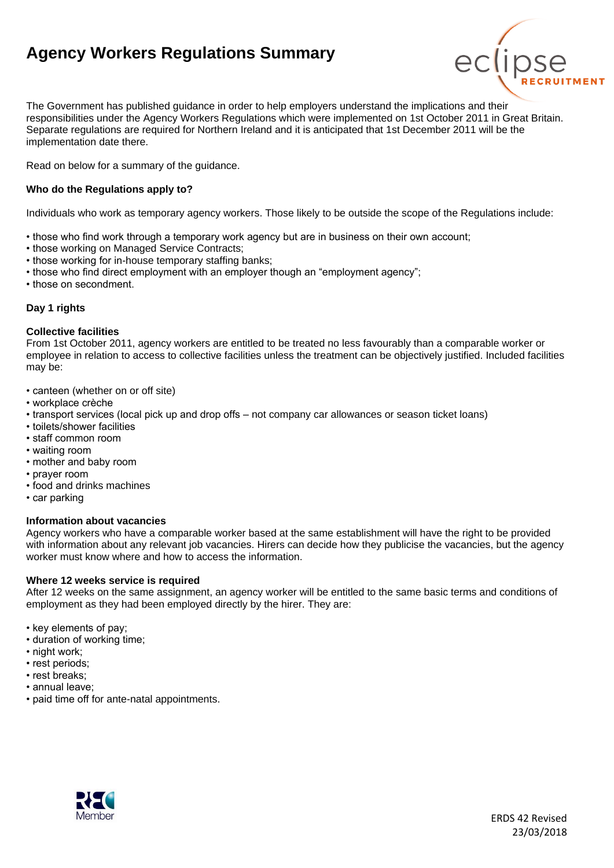# **Agency Workers Regulations Summary**



The Government has published guidance in order to help employers understand the implications and their responsibilities under the Agency Workers Regulations which were implemented on 1st October 2011 in Great Britain. Separate regulations are required for Northern Ireland and it is anticipated that 1st December 2011 will be the implementation date there.

Read on below for a summary of the guidance.

### **Who do the Regulations apply to?**

Individuals who work as temporary agency workers. Those likely to be outside the scope of the Regulations include:

- those who find work through a temporary work agency but are in business on their own account;
- those working on Managed Service Contracts;
- those working for in-house temporary staffing banks;
- those who find direct employment with an employer though an "employment agency";
- those on secondment.

### **Day 1 rights**

#### **Collective facilities**

From 1st October 2011, agency workers are entitled to be treated no less favourably than a comparable worker or employee in relation to access to collective facilities unless the treatment can be objectively justified. Included facilities may be:

- canteen (whether on or off site)
- workplace crèche
- transport services (local pick up and drop offs not company car allowances or season ticket loans)
- toilets/shower facilities
- staff common room
- waiting room
- mother and baby room
- prayer room
- food and drinks machines
- car parking

#### **Information about vacancies**

Agency workers who have a comparable worker based at the same establishment will have the right to be provided with information about any relevant job vacancies. Hirers can decide how they publicise the vacancies, but the agency worker must know where and how to access the information.

#### **Where 12 weeks service is required**

After 12 weeks on the same assignment, an agency worker will be entitled to the same basic terms and conditions of employment as they had been employed directly by the hirer. They are:

- key elements of pay;
- duration of working time;
- night work;
- rest periods;
- rest breaks;
- annual leave;
- paid time off for ante-natal appointments.

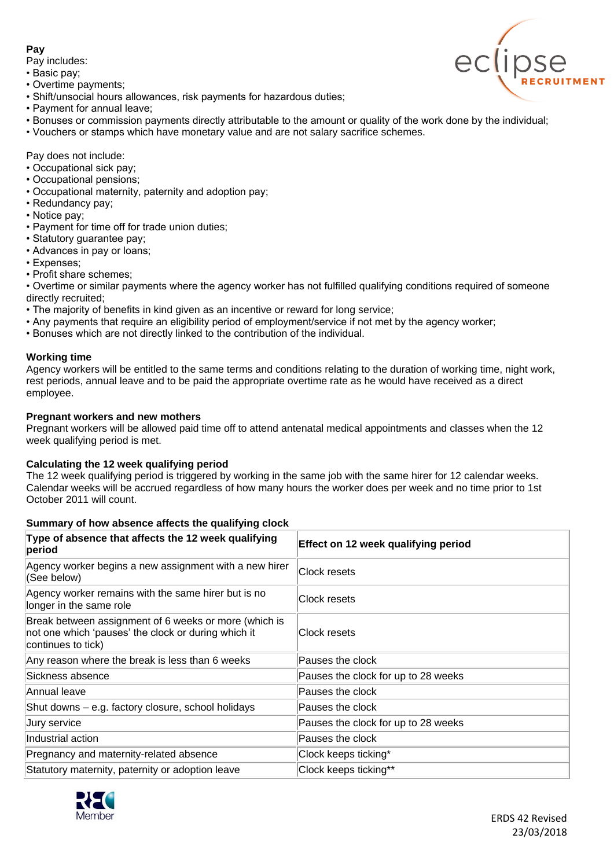## **Pay**

Pay includes:

- Basic pay;
- Overtime payments;
- Shift/unsocial hours allowances, risk payments for hazardous duties;
- Payment for annual leave;
- Bonuses or commission payments directly attributable to the amount or quality of the work done by the individual;
- Vouchers or stamps which have monetary value and are not salary sacrifice schemes.

Pay does not include:

- Occupational sick pay;
- Occupational pensions;
- Occupational maternity, paternity and adoption pay;
- Redundancy pay;
- Notice pay;
- Payment for time off for trade union duties;
- Statutory guarantee pay;
- Advances in pay or loans;
- Expenses;
- Profit share schemes;

• Overtime or similar payments where the agency worker has not fulfilled qualifying conditions required of someone directly recruited;

- The majority of benefits in kind given as an incentive or reward for long service;
- Any payments that require an eligibility period of employment/service if not met by the agency worker;
- Bonuses which are not directly linked to the contribution of the individual.

### **Working time**

Agency workers will be entitled to the same terms and conditions relating to the duration of working time, night work, rest periods, annual leave and to be paid the appropriate overtime rate as he would have received as a direct employee.

### **Pregnant workers and new mothers**

Pregnant workers will be allowed paid time off to attend antenatal medical appointments and classes when the 12 week qualifying period is met.

### **Calculating the 12 week qualifying period**

The 12 week qualifying period is triggered by working in the same job with the same hirer for 12 calendar weeks. Calendar weeks will be accrued regardless of how many hours the worker does per week and no time prior to 1st October 2011 will count.

### **Summary of how absence affects the qualifying clock**

| Type of absence that affects the 12 week qualifying<br>period                                                                      | Effect on 12 week qualifying period |
|------------------------------------------------------------------------------------------------------------------------------------|-------------------------------------|
| Agency worker begins a new assignment with a new hirer<br>(See below)                                                              | Clock resets                        |
| Agency worker remains with the same hirer but is no<br>longer in the same role                                                     | Clock resets                        |
| Break between assignment of 6 weeks or more (which is<br>not one which 'pauses' the clock or during which it<br>continues to tick) | Clock resets                        |
| Any reason where the break is less than 6 weeks                                                                                    | Pauses the clock                    |
| Sickness absence                                                                                                                   | Pauses the clock for up to 28 weeks |
| Annual leave                                                                                                                       | Pauses the clock                    |
| Shut downs – e.g. factory closure, school holidays                                                                                 | Pauses the clock                    |
| Jury service                                                                                                                       | Pauses the clock for up to 28 weeks |
| Industrial action                                                                                                                  | Pauses the clock                    |
| Pregnancy and maternity-related absence                                                                                            | Clock keeps ticking*                |
| Statutory maternity, paternity or adoption leave                                                                                   | Clock keeps ticking**               |